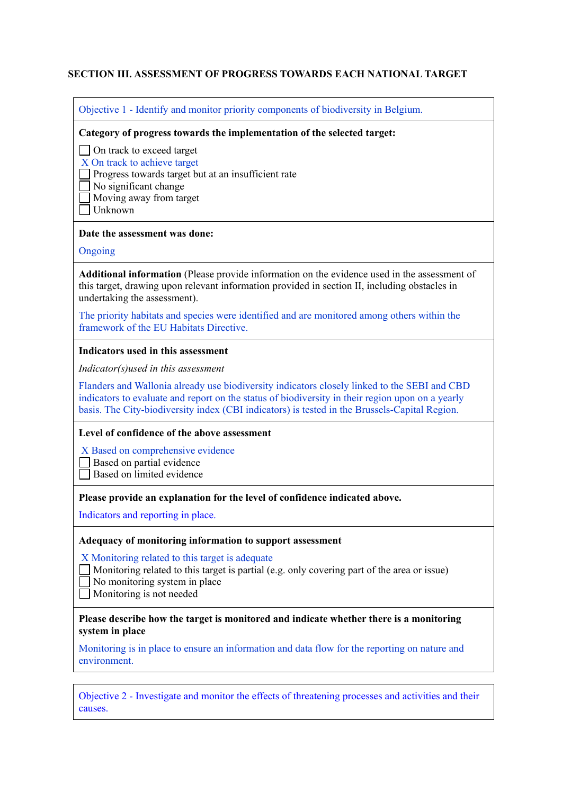### **SECTION III. ASSESSMENT OF PROGRESS TOWARDS EACH NATIONAL TARGET**

Objective 1 - Identify and monitor priority components of biodiversity in Belgium.

#### **Category of progress towards the implementation of the selected target:**

□ On track to exceed target

X On track to achieve target

 $\Box$  Progress towards target but at an insufficient rate

No significant change

Moving away from target

Unknown

#### **Date the assessment was done:**

#### Ongoing

**Additional information** (Please provide information on the evidence used in the assessment of this target, drawing upon relevant information provided in section II, including obstacles in undertaking the assessment).

The priority habitats and species were identified and are monitored among others within the framework of the EU Habitats Directive.

#### **Indicators used in this assessment**

*Indicator(s)used in this assessment*

Flanders and Wallonia already use biodiversity indicators closely linked to the SEBI and CBD indicators to evaluate and report on the status of biodiversity in their region upon on a yearly basis. The City-biodiversity index (CBI indicators) is tested in the Brussels-Capital Region.

#### **Level of confidence of the above assessment**

X Based on comprehensive evidence

Based on partial evidence

Based on limited evidence

#### **Please provide an explanation for the level of confidence indicated above.**

Indicators and reporting in place.

#### **Adequacy of monitoring information to support assessment**

X Monitoring related to this target is adequate

Monitoring related to this target is partial (e.g. only covering part of the area or issue)

No monitoring system in place

Monitoring is not needed

### **Please describe how the target is monitored and indicate whether there is a monitoring system in place**

Monitoring is in place to ensure an information and data flow for the reporting on nature and environment.

Objective 2 - Investigate and monitor the effects of threatening processes and activities and their causes.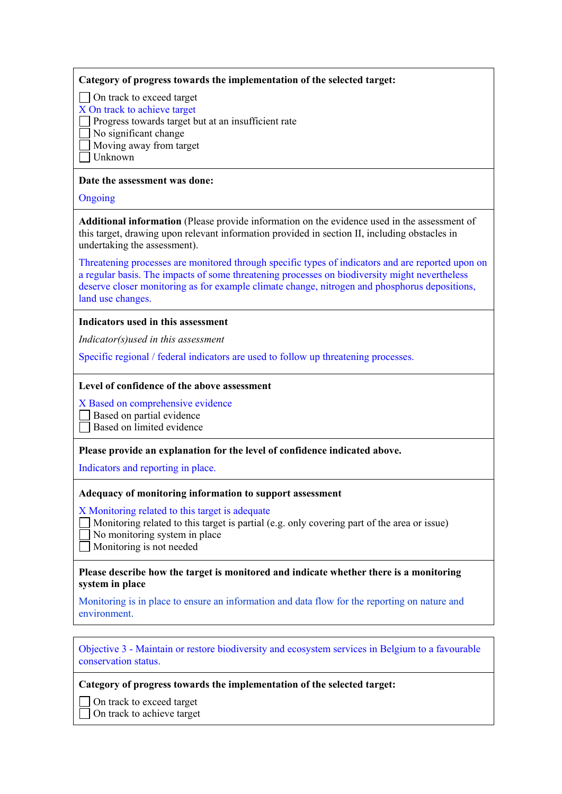### **Category of progress towards the implementation of the selected target:**

□ On track to exceed target

X On track to achieve target

 $\Box$  Progress towards target but at an insufficient rate

No significant change

Moving away from target

 $\exists$  Unknown

### **Date the assessment was done:**

**Ongoing** 

**Additional information** (Please provide information on the evidence used in the assessment of this target, drawing upon relevant information provided in section II, including obstacles in undertaking the assessment).

Threatening processes are monitored through specific types of indicators and are reported upon on a regular basis. The impacts of some threatening processes on biodiversity might nevertheless deserve closer monitoring as for example climate change, nitrogen and phosphorus depositions, land use changes.

# **Indicators used in this assessment**

*Indicator(s)used in this assessment*

Specific regional / federal indicators are used to follow up threatening processes.

### **Level of confidence of the above assessment**

X Based on comprehensive evidence

Based on partial evidence

□ Based on limited evidence

**Please provide an explanation for the level of confidence indicated above.**

Indicators and reporting in place.

### **Adequacy of monitoring information to support assessment**

X Monitoring related to this target is adequate

- Monitoring related to this target is partial (e.g. only covering part of the area or issue)
- No monitoring system in place
- Monitoring is not needed

### **Please describe how the target is monitored and indicate whether there is a monitoring system in place**

Monitoring is in place to ensure an information and data flow for the reporting on nature and environment.

Objective 3 - Maintain or restore biodiversity and ecosystem services in Belgium to a favourable conservation status.

**Category of progress towards the implementation of the selected target:**

On track to exceed target On track to achieve target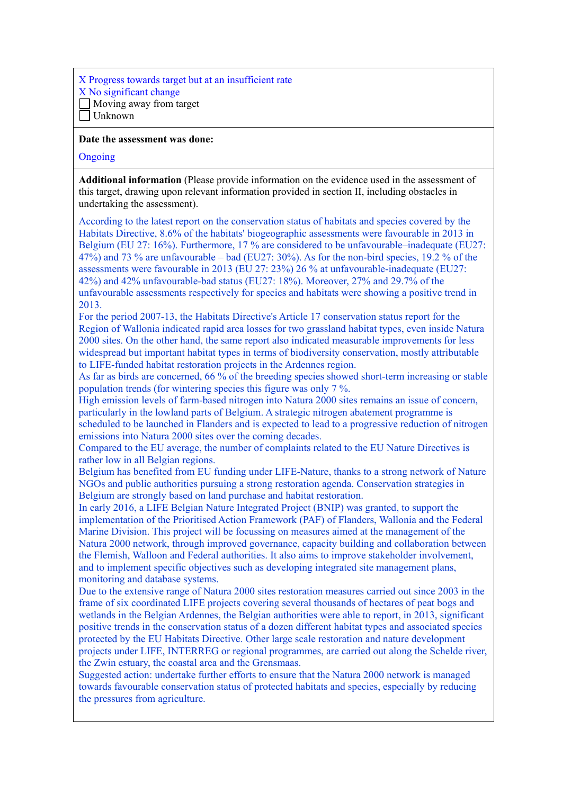X Progress towards target but at an insufficient rate X No significant change Moving away from target Unknown

#### **Date the assessment was done:**

#### **Ongoing**

**Additional information** (Please provide information on the evidence used in the assessment of this target, drawing upon relevant information provided in section II, including obstacles in undertaking the assessment).

According to the latest report on the conservation status of habitats and species covered by the Habitats Directive, 8.6% of the habitats' biogeographic assessments were favourable in 2013 in Belgium (EU 27: 16%). Furthermore, 17 % are considered to be unfavourable–inadequate (EU27: 47%) and 73 % are unfavourable – bad (EU27: 30%). As for the non-bird species, 19.2 % of the assessments were favourable in 2013 (EU 27: 23%) 26 % at unfavourable-inadequate (EU27: 42%) and 42% unfavourable-bad status (EU27: 18%). Moreover, 27% and 29.7% of the unfavourable assessments respectively for species and habitats were showing a positive trend in 2013.

For the period 2007-13, the Habitats Directive's Article 17 conservation status report for the Region of Wallonia indicated rapid area losses for two grassland habitat types, even inside Natura 2000 sites. On the other hand, the same report also indicated measurable improvements for less widespread but important habitat types in terms of biodiversity conservation, mostly attributable to LIFE-funded habitat restoration projects in the Ardennes region.

As far as birds are concerned, 66 % of the breeding species showed short-term increasing or stable population trends (for wintering species this figure was only 7 %.

High emission levels of farm-based nitrogen into Natura 2000 sites remains an issue of concern, particularly in the lowland parts of Belgium. A strategic nitrogen abatement programme is scheduled to be launched in Flanders and is expected to lead to a progressive reduction of nitrogen emissions into Natura 2000 sites over the coming decades.

Compared to the EU average, the number of complaints related to the EU Nature Directives is rather low in all Belgian regions.

Belgium has benefited from EU funding under LIFE-Nature, thanks to a strong network of Nature NGOs and public authorities pursuing a strong restoration agenda. Conservation strategies in Belgium are strongly based on land purchase and habitat restoration.

In early 2016, a LIFE Belgian Nature Integrated Project (BNIP) was granted, to support the implementation of the Prioritised Action Framework (PAF) of Flanders, Wallonia and the Federal Marine Division. This project will be focussing on measures aimed at the management of the Natura 2000 network, through improved governance, capacity building and collaboration between the Flemish, Walloon and Federal authorities. It also aims to improve stakeholder involvement, and to implement specific objectives such as developing integrated site management plans, monitoring and database systems.

Due to the extensive range of Natura 2000 sites restoration measures carried out since 2003 in the frame of six coordinated LIFE projects covering several thousands of hectares of peat bogs and wetlands in the Belgian Ardennes, the Belgian authorities were able to report, in 2013, significant positive trends in the conservation status of a dozen different habitat types and associated species protected by the EU Habitats Directive. Other large scale restoration and nature development projects under LIFE, INTERREG or regional programmes, are carried out along the Schelde river, the Zwin estuary, the coastal area and the Grensmaas.

Suggested action: undertake further efforts to ensure that the Natura 2000 network is managed towards favourable conservation status of protected habitats and species, especially by reducing the pressures from agriculture.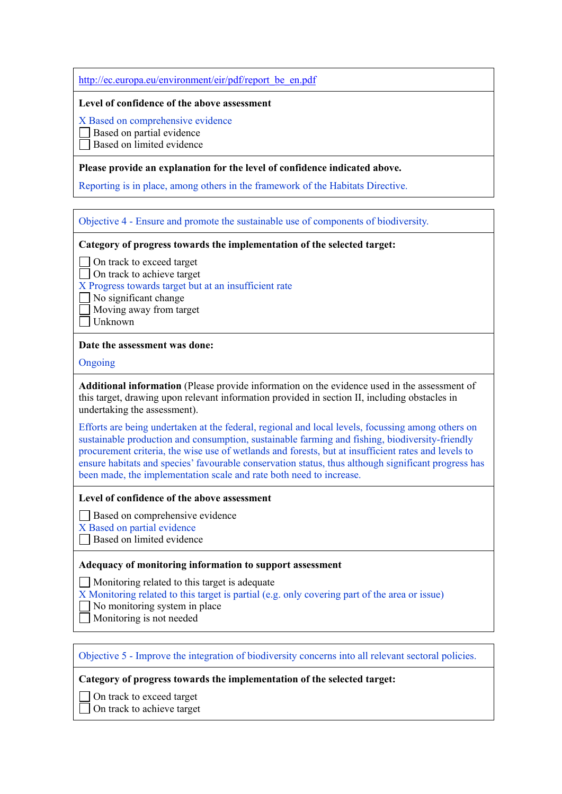[http://ec.europa.eu/environment/eir/pdf/report\\_be\\_en.pdf](http://ec.europa.eu/environment/eir/pdf/report_be_en.pdf)

#### **Level of confidence of the above assessment**

X Based on comprehensive evidence

Based on partial evidence

Based on limited evidence

### **Please provide an explanation for the level of confidence indicated above.**

Reporting is in place, among others in the framework of the Habitats Directive.

Objective 4 - Ensure and promote the sustainable use of components of biodiversity.

### **Category of progress towards the implementation of the selected target:**

□ On track to exceed target

□ On track to achieve target

X Progress towards target but at an insufficient rate

No significant change

Moving away from target

Unknown

### **Date the assessment was done:**

Ongoing

**Additional information** (Please provide information on the evidence used in the assessment of this target, drawing upon relevant information provided in section II, including obstacles in undertaking the assessment).

Efforts are being undertaken at the federal, regional and local levels, focussing among others on sustainable production and consumption, sustainable farming and fishing, biodiversity-friendly procurement criteria, the wise use of wetlands and forests, but at insufficient rates and levels to ensure habitats and species' favourable conservation status, thus although significant progress has been made, the implementation scale and rate both need to increase.

### **Level of confidence of the above assessment**

Based on comprehensive evidence

X Based on partial evidence

Based on limited evidence

### **Adequacy of monitoring information to support assessment**

Monitoring related to this target is adequate

X Monitoring related to this target is partial (e.g. only covering part of the area or issue)

- $\Box$  No monitoring system in place
- Monitoring is not needed

# Objective 5 - Improve the integration of biodiversity concerns into all relevant sectoral policies.

### **Category of progress towards the implementation of the selected target:**

□ On track to exceed target

□ On track to achieve target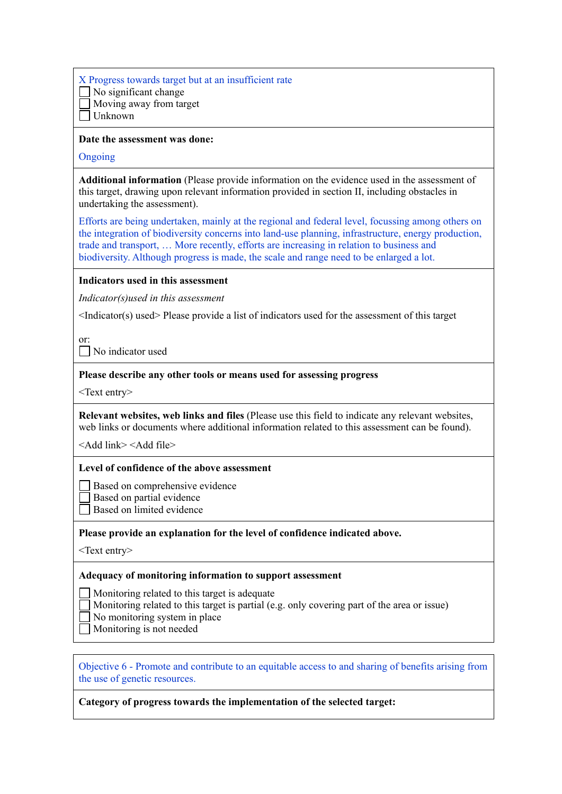| X Progress towards target but at an insufficient rate |
|-------------------------------------------------------|
| $\Box$ No significant change                          |
| $\Box$ Moving away from target                        |
| $\Box$ Unknown                                        |

#### **Date the assessment was done:**

#### Ongoing

**Additional information** (Please provide information on the evidence used in the assessment of this target, drawing upon relevant information provided in section II, including obstacles in undertaking the assessment).

Efforts are being undertaken, mainly at the regional and federal level, focussing among others on the integration of biodiversity concerns into land-use planning, infrastructure, energy production, trade and transport, … More recently, efforts are increasing in relation to business and biodiversity. Although progress is made, the scale and range need to be enlarged a lot.

#### **Indicators used in this assessment**

*Indicator(s)used in this assessment*

<Indicator(s) used> Please provide a list of indicators used for the assessment of this target

or:

No indicator used

#### **Please describe any other tools or means used for assessing progress**

<Text entry>

**Relevant websites, web links and files** (Please use this field to indicate any relevant websites, web links or documents where additional information related to this assessment can be found).

<Add link> <Add file>

### **Level of confidence of the above assessment**

Based on comprehensive evidence

Based on partial evidence

 $\Box$  Based on limited evidence

### **Please provide an explanation for the level of confidence indicated above.**

<Text entry>

### **Adequacy of monitoring information to support assessment**

Monitoring related to this target is adequate

- Monitoring related to this target is partial (e.g. only covering part of the area or issue)
- No monitoring system in place
- Monitoring is not needed

Objective 6 - Promote and contribute to an equitable access to and sharing of benefits arising from the use of genetic resources.

### **Category of progress towards the implementation of the selected target:**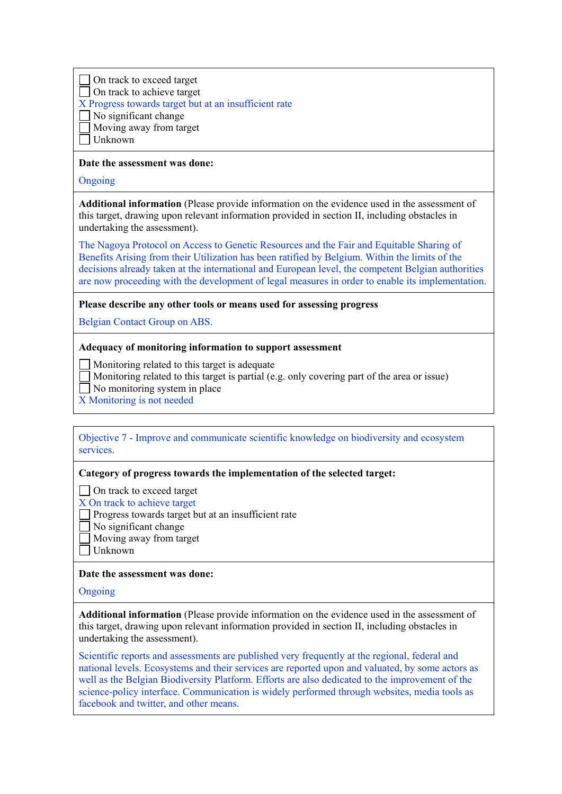On track to exceed target  $\Box$  On track to achieve target

X Progress towards target but at an insufficient rate

 $\Box$  No significant change

Moving away from target

Unknown

### **Date the assessment was done:**

Ongoing

**Additional information** (Please provide information on the evidence used in the assessment of this target, drawing upon relevant information provided in section II, including obstacles in undertaking the assessment).

The Nagoya Protocol on Access to Genetic Resources and the Fair and Equitable Sharing of Benefits Arising from their Utilization has been ratified by Belgium. Within the limits of the decisions already taken at the international and European level, the competent Belgian authorities are now proceeding with the development of legal measures in order to enable its implementation.

**Please describe any other tools or means used for assessing progress**

Belgian Contact Group on ABS.

### **Adequacy of monitoring information to support assessment**

Monitoring related to this target is adequate

Monitoring related to this target is partial (e.g. only covering part of the area or issue)

 $\Box$  No monitoring system in place

X Monitoring is not needed

Objective 7 - Improve and communicate scientific knowledge on biodiversity and ecosystem services.

# **Category of progress towards the implementation of the selected target:**

□ On track to exceed target

- X On track to achieve target
- Progress towards target but at an insufficient rate
	- No significant change
	- Moving away from target
- Unknown

# **Date the assessment was done:**

Ongoing

**Additional information** (Please provide information on the evidence used in the assessment of this target, drawing upon relevant information provided in section II, including obstacles in undertaking the assessment).

Scientific reports and assessments are published very frequently at the regional, federal and national levels. Ecosystems and their services are reported upon and valuated, by some actors as well as the Belgian Biodiversity Platform. Efforts are also dedicated to the improvement of the science-policy interface. Communication is widely performed through websites, media tools as facebook and twitter, and other means.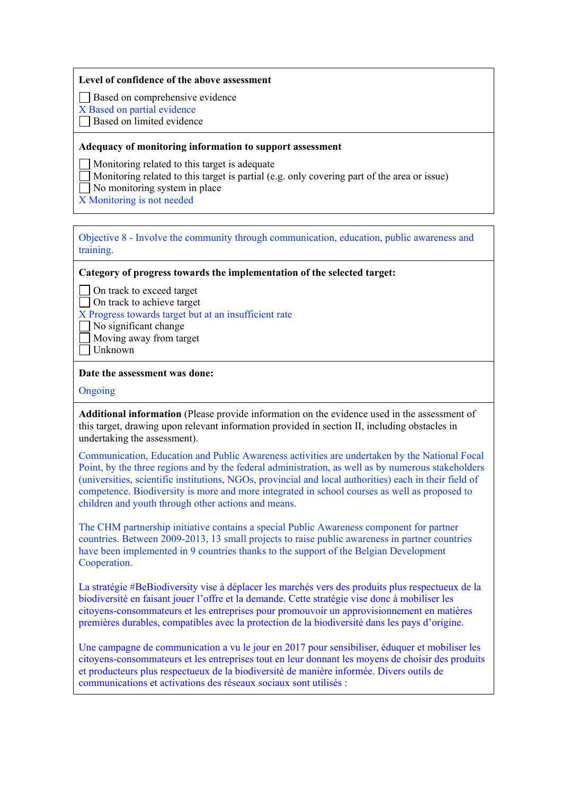### **Level of confidence of the above assessment**

Based on comprehensive evidence

X Based on partial evidence

Based on limited evidence

#### **Adequacy of monitoring information to support assessment**

Monitoring related to this target is adequate

Monitoring related to this target is partial (e.g. only covering part of the area or issue)

 $\Box$  No monitoring system in place

X Monitoring is not needed

Objective 8 - Involve the community through communication, education, public awareness and training.

**Category of progress towards the implementation of the selected target:**

◯ On track to exceed target

 $\Box$  On track to achieve target

X Progress towards target but at an insufficient rate

- $\Box$  No significant change
- Moving away from target
- $\Box$  Unknown

#### **Date the assessment was done:**

#### Ongoing

**Additional information** (Please provide information on the evidence used in the assessment of this target, drawing upon relevant information provided in section II, including obstacles in undertaking the assessment).

Communication, Education and Public Awareness activities are undertaken by the National Focal Point, by the three regions and by the federal administration, as well as by numerous stakeholders (universities, scientific institutions, NGOs, provincial and local authorities) each in their field of competence. Biodiversity is more and more integrated in school courses as well as proposed to children and youth through other actions and means.

The CHM partnership initiative contains a special Public Awareness component for partner countries. Between 2009-2013, 13 small projects to raise public awareness in partner countries have been implemented in 9 countries thanks to the support of the Belgian Development Cooperation.

La stratégie #BeBiodiversity vise à déplacer les marchés vers des produits plus respectueux de la biodiversité en faisant jouer l'offre et la demande. Cette stratégie vise donc à mobiliser les citoyens-consommateurs et les entreprises pour promouvoir un approvisionnement en matières premières durables, compatibles avec la protection de la biodiversité dans les pays d'origine.

Une campagne de communication a vu le jour en 2017 pour sensibiliser, éduquer et mobiliser les citoyens-consommateurs et les entreprises tout en leur donnant les moyens de choisir des produits et producteurs plus respectueux de la biodiversité de manière informée. Divers outils de communications et activations des réseaux sociaux sont utilisés :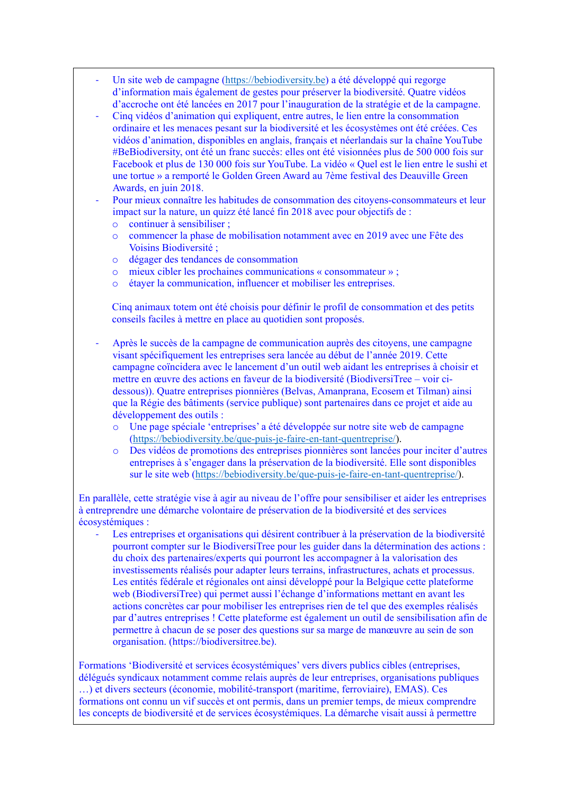- Un site web de campagne [\(https://bebiodiversity.be\)](https://bebiodiversity.be/) a été développé qui regorge d'information mais également de gestes pour préserver la biodiversité. Quatre vidéos d'accroche ont été lancées en 2017 pour l'inauguration de la stratégie et de la campagne.
- Cinq vidéos d'animation qui expliquent, entre autres, le lien entre la consommation ordinaire et les menaces pesant sur la biodiversité et les écosystèmes ont été créées. Ces vidéos d'animation, disponibles en anglais, français et néerlandais sur la chaîne YouTube #BeBiodiversity, ont été un franc succès: elles ont été visionnées plus de 500 000 fois sur Facebook et plus de 130 000 fois sur YouTube. La vidéo « Quel est le lien entre le sushi et une tortue » a remporté le Golden Green Award au 7ème festival des Deauville Green Awards, en juin 2018.

Pour mieux connaître les habitudes de consommation des citoyens-consommateurs et leur impact sur la nature, un quizz été lancé fin 2018 avec pour objectifs de :

- o continuer à sensibiliser ;
- o commencer la phase de mobilisation notamment avec en 2019 avec une Fête des Voisins Biodiversité ;
- o dégager des tendances de consommation
- o mieux cibler les prochaines communications « consommateur » ;
- o étayer la communication, influencer et mobiliser les entreprises.

Cinq animaux totem ont été choisis pour définir le profil de consommation et des petits conseils faciles à mettre en place au quotidien sont proposés.

- Après le succès de la campagne de communication auprès des citoyens, une campagne visant spécifiquement les entreprises sera lancée au début de l'année 2019. Cette campagne coïncidera avec le lancement d'un outil web aidant les entreprises à choisir et mettre en œuvre des actions en faveur de la biodiversité (BiodiversiTree – voir cidessous)). Quatre entreprises pionnières (Belvas, Amanprana, Ecosem et Tilman) ainsi que la Régie des bâtiments (service publique) sont partenaires dans ce projet et aide au développement des outils :
	- o Une page spéciale 'entreprises' a été développée sur notre site web de campagne [\(https://bebiodiversity.be/que-puis-je-faire-en-tant-quentreprise/\)](https://bebiodiversity.be/que-puis-je-faire-en-tant-quentreprise/).
	- o Des vidéos de promotions des entreprises pionnières sont lancées pour inciter d'autres entreprises à s'engager dans la préservation de la biodiversité. Elle sont disponibles sur le site web [\(https://bebiodiversity.be/que-puis-je-faire-en-tant-quentreprise/\)](https://bebiodiversity.be/que-puis-je-faire-en-tant-quentreprise/).

En parallèle, cette stratégie vise à agir au niveau de l'offre pour sensibiliser et aider les entreprises à entreprendre une démarche volontaire de préservation de la biodiversité et des services écosystémiques :

Les entreprises et organisations qui désirent contribuer à la préservation de la biodiversité pourront compter sur le BiodiversiTree pour les guider dans la détermination des actions : du choix des partenaires/experts qui pourront les accompagner à la valorisation des investissements réalisés pour adapter leurs terrains, infrastructures, achats et processus. Les entités fédérale et régionales ont ainsi développé pour la Belgique cette plateforme web (BiodiversiTree) qui permet aussi l'échange d'informations mettant en avant les actions concrètes car pour mobiliser les entreprises rien de tel que des exemples réalisés par d'autres entreprises ! Cette plateforme est également un outil de sensibilisation afin de permettre à chacun de se poser des questions sur sa marge de manœuvre au sein de son organisation. (https://biodiversitree.be).

Formations 'Biodiversité et services écosystémiques' vers divers publics cibles (entreprises, délégués syndicaux notamment comme relais auprès de leur entreprises, organisations publiques …) et divers secteurs (économie, mobilité-transport (maritime, ferroviaire), EMAS). Ces formations ont connu un vif succès et ont permis, dans un premier temps, de mieux comprendre les concepts de biodiversité et de services écosystémiques. La démarche visait aussi à permettre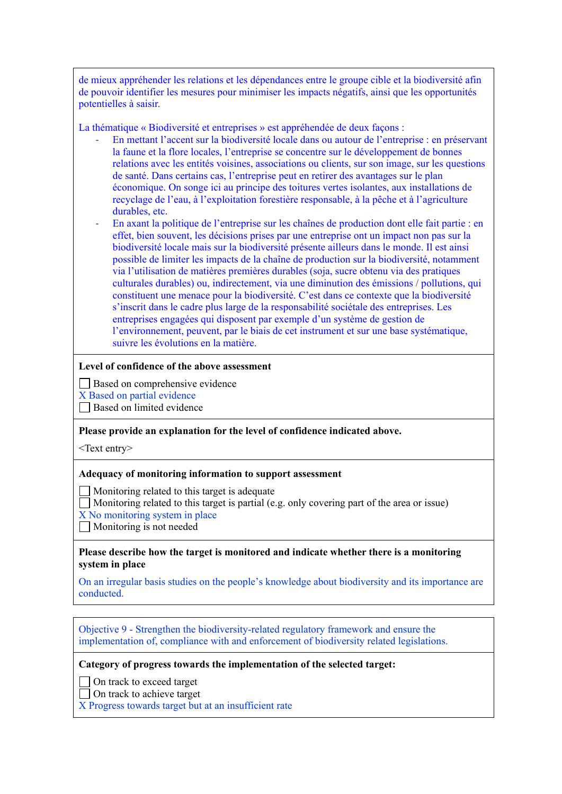de mieux appréhender les relations et les dépendances entre le groupe cible et la biodiversité afin de pouvoir identifier les mesures pour minimiser les impacts négatifs, ainsi que les opportunités potentielles à saisir.

La thématique « Biodiversité et entreprises » est appréhendée de deux façons :

- En mettant l'accent sur la biodiversité locale dans ou autour de l'entreprise : en préservant la faune et la flore locales, l'entreprise se concentre sur le développement de bonnes relations avec les entités voisines, associations ou clients, sur son image, sur les questions de santé. Dans certains cas, l'entreprise peut en retirer des avantages sur le plan économique. On songe ici au principe des toitures vertes isolantes, aux installations de recyclage de l'eau, à l'exploitation forestière responsable, à la pêche et à l'agriculture durables, etc.
- En axant la politique de l'entreprise sur les chaînes de production dont elle fait partie : en effet, bien souvent, les décisions prises par une entreprise ont un impact non pas sur la biodiversité locale mais sur la biodiversité présente ailleurs dans le monde. Il est ainsi possible de limiter les impacts de la chaîne de production sur la biodiversité, notamment via l'utilisation de matières premières durables (soja, sucre obtenu via des pratiques culturales durables) ou, indirectement, via une diminution des émissions / pollutions, qui constituent une menace pour la biodiversité. C'est dans ce contexte que la biodiversité s'inscrit dans le cadre plus large de la responsabilité sociétale des entreprises. Les entreprises engagées qui disposent par exemple d'un système de gestion de l'environnement, peuvent, par le biais de cet instrument et sur une base systématique, suivre les évolutions en la matière.

### **Level of confidence of the above assessment**

Based on comprehensive evidence

X Based on partial evidence

 $\Box$  Based on limited evidence

### **Please provide an explanation for the level of confidence indicated above.**

<Text entry>

### **Adequacy of monitoring information to support assessment**

Monitoring related to this target is adequate

Monitoring related to this target is partial (e.g. only covering part of the area or issue)

X No monitoring system in place

Monitoring is not needed

### **Please describe how the target is monitored and indicate whether there is a monitoring system in place**

On an irregular basis studies on the people's knowledge about biodiversity and its importance are conducted.

Objective 9 - Strengthen the biodiversity-related regulatory framework and ensure the implementation of, compliance with and enforcement of biodiversity related legislations.

### **Category of progress towards the implementation of the selected target:**

On track to exceed target

 $\Box$  On track to achieve target

X Progress towards target but at an insufficient rate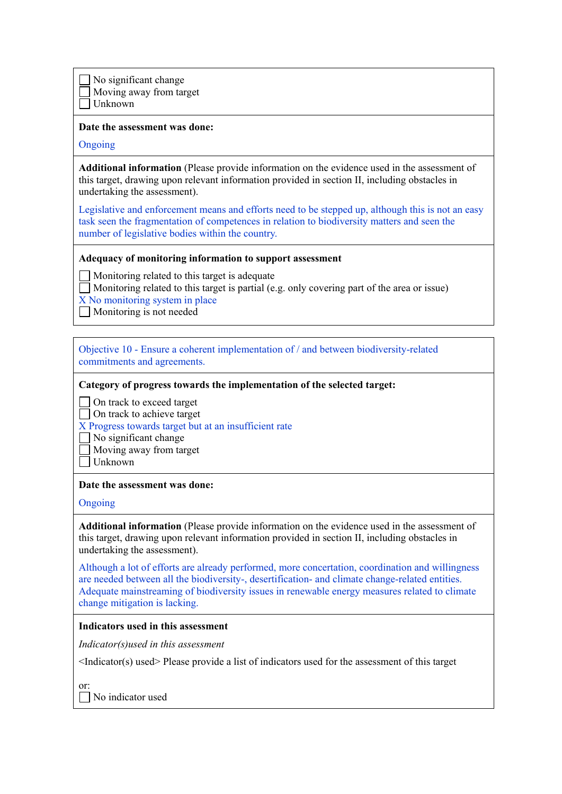No significant change Moving away from target Unknown

#### **Date the assessment was done:**

Ongoing

**Additional information** (Please provide information on the evidence used in the assessment of this target, drawing upon relevant information provided in section II, including obstacles in undertaking the assessment).

Legislative and enforcement means and efforts need to be stepped up, although this is not an easy task seen the fragmentation of competences in relation to biodiversity matters and seen the number of legislative bodies within the country.

### **Adequacy of monitoring information to support assessment**

 $\Box$  Monitoring related to this target is adequate

- $\Box$  Monitoring related to this target is partial (e.g. only covering part of the area or issue)
- X No monitoring system in place
- Monitoring is not needed

Objective 10 - Ensure a coherent implementation of / and between biodiversity-related commitments and agreements.

**Category of progress towards the implementation of the selected target:**

◯ On track to exceed target

□ On track to achieve target

X Progress towards target but at an insufficient rate

No significant change

Moving away from target

 $\Box$  Unknown

#### **Date the assessment was done:**

Ongoing

**Additional information** (Please provide information on the evidence used in the assessment of this target, drawing upon relevant information provided in section II, including obstacles in undertaking the assessment).

Although a lot of efforts are already performed, more concertation, coordination and willingness are needed between all the biodiversity-, desertification- and climate change-related entities. Adequate mainstreaming of biodiversity issues in renewable energy measures related to climate change mitigation is lacking.

### **Indicators used in this assessment**

*Indicator(s)used in this assessment*

<Indicator(s) used> Please provide a list of indicators used for the assessment of this target

or:

No indicator used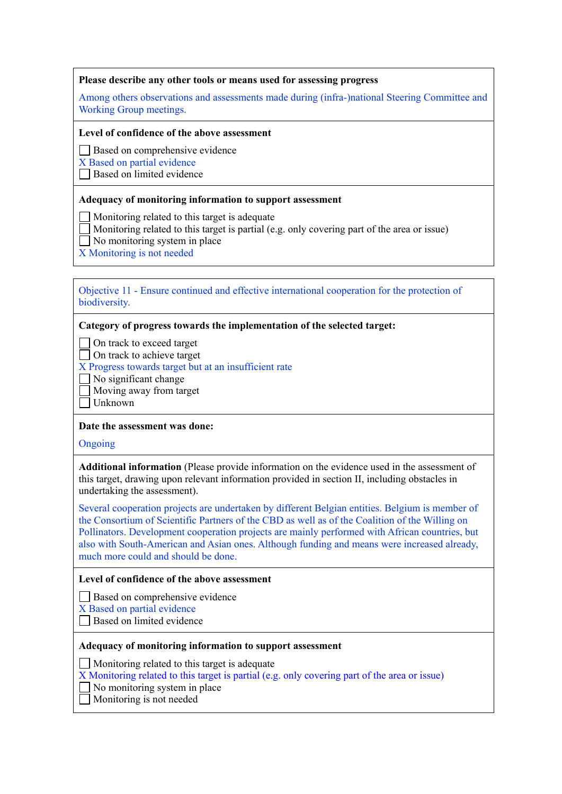### **Please describe any other tools or means used for assessing progress**

Among others observations and assessments made during (infra-)national Steering Committee and Working Group meetings.

#### **Level of confidence of the above assessment**

Based on comprehensive evidence

X Based on partial evidence

 $\Box$  Based on limited evidence

### **Adequacy of monitoring information to support assessment**

Monitoring related to this target is adequate

- Monitoring related to this target is partial (e.g. only covering part of the area or issue)
- | No monitoring system in place
- X Monitoring is not needed

### Objective 11 - Ensure continued and effective international cooperation for the protection of biodiversity.

### **Category of progress towards the implementation of the selected target:**

□ On track to exceed target

□ On track to achieve target

X Progress towards target but at an insufficient rate

 $\Box$  No significant change

Moving away from target

 $\Box$  Unknown

# **Date the assessment was done:**

Ongoing

**Additional information** (Please provide information on the evidence used in the assessment of this target, drawing upon relevant information provided in section II, including obstacles in undertaking the assessment).

Several cooperation projects are undertaken by different Belgian entities. Belgium is member of the Consortium of Scientific Partners of the CBD as well as of the Coalition of the Willing on Pollinators. Development cooperation projects are mainly performed with African countries, but also with South-American and Asian ones. Although funding and means were increased already, much more could and should be done.

### **Level of confidence of the above assessment**

Based on comprehensive evidence

X Based on partial evidence

Based on limited evidence

### **Adequacy of monitoring information to support assessment**

Monitoring related to this target is adequate

X Monitoring related to this target is partial (e.g. only covering part of the area or issue)

 $\Box$  No monitoring system in place

Monitoring is not needed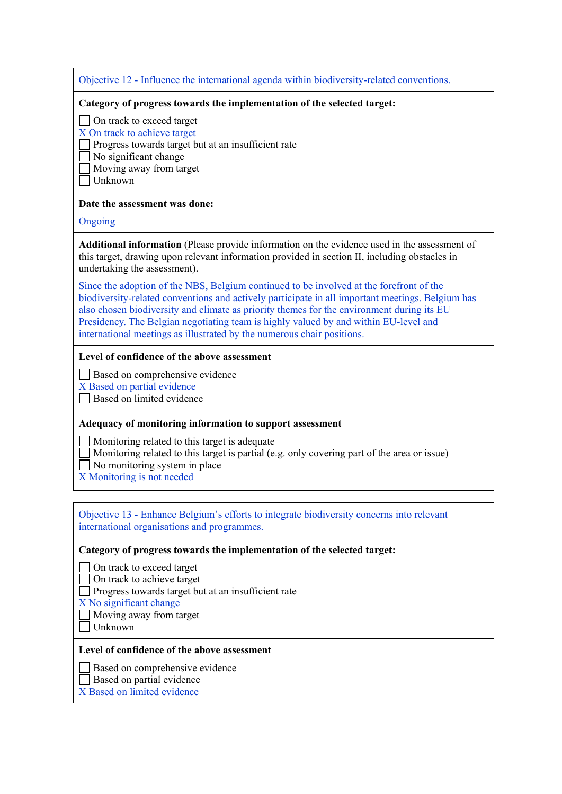Objective 12 - Influence the international agenda within biodiversity-related conventions.

#### **Category of progress towards the implementation of the selected target:**

□ On track to exceed target

- X On track to achieve target
- $\Box$  Progress towards target but at an insufficient rate

No significant change

Moving away from target

Unknown

### **Date the assessment was done:**

### Ongoing

**Additional information** (Please provide information on the evidence used in the assessment of this target, drawing upon relevant information provided in section II, including obstacles in undertaking the assessment).

Since the adoption of the NBS, Belgium continued to be involved at the forefront of the biodiversity-related conventions and actively participate in all important meetings. Belgium has also chosen biodiversity and climate as priority themes for the environment during its EU Presidency. The Belgian negotiating team is highly valued by and within EU-level and international meetings as illustrated by the numerous chair positions.

### **Level of confidence of the above assessment**

Based on comprehensive evidence

X Based on partial evidence

Based on limited evidence

# **Adequacy of monitoring information to support assessment**

Monitoring related to this target is adequate

- Monitoring related to this target is partial (e.g. only covering part of the area or issue)
- $\Box$  No monitoring system in place
- X Monitoring is not needed

### Objective 13 - Enhance Belgium's efforts to integrate biodiversity concerns into relevant international organisations and programmes.

### **Category of progress towards the implementation of the selected target:**

□ On track to exceed target

□ On track to achieve target

Progress towards target but at an insufficient rate

- X No significant change
- Moving away from target
- $\Box$  Unknown

### **Level of confidence of the above assessment**

Based on comprehensive evidence

- Based on partial evidence
- X Based on limited evidence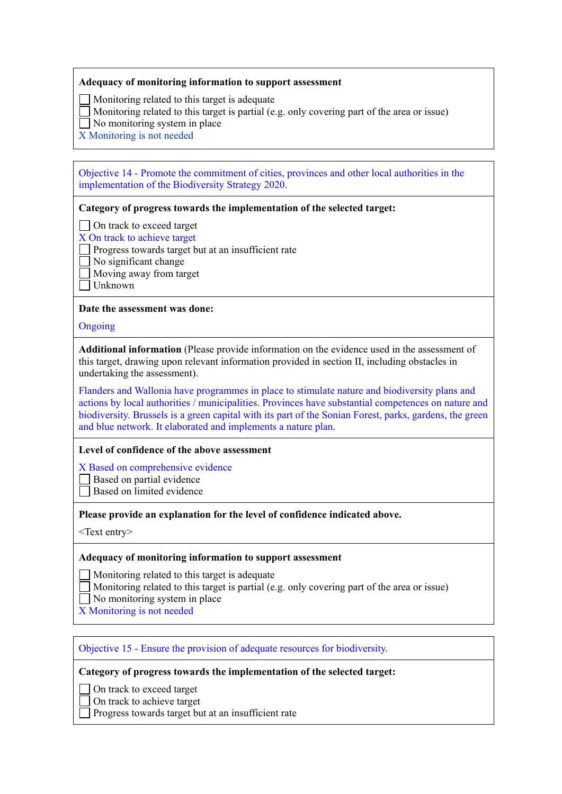#### **Adequacy of monitoring information to support assessment**

Monitoring related to this target is adequate

- Monitoring related to this target is partial (e.g. only covering part of the area or issue)
- $\Box$  No monitoring system in place
- X Monitoring is not needed

### Objective 14 - Promote the commitment of cities, provinces and other local authorities in the implementation of the Biodiversity Strategy 2020.

### **Category of progress towards the implementation of the selected target:**

- □ On track to exceed target
- X On track to achieve target
- Progress towards target but at an insufficient rate
- No significant change
	- Moving away from target
- $\Box$  Unknown

### **Date the assessment was done:**

**Ongoing** 

**Additional information** (Please provide information on the evidence used in the assessment of this target, drawing upon relevant information provided in section II, including obstacles in undertaking the assessment).

Flanders and Wallonia have programmes in place to stimulate nature and biodiversity plans and actions by local authorities / municipalities. Provinces have substantial competences on nature and biodiversity. Brussels is a green capital with its part of the Sonian Forest, parks, gardens, the green and blue network. It elaborated and implements a nature plan.

### **Level of confidence of the above assessment**

X Based on comprehensive evidence

- Based on partial evidence
- Based on limited evidence

### **Please provide an explanation for the level of confidence indicated above.**

<Text entry>

### **Adequacy of monitoring information to support assessment**

Monitoring related to this target is adequate

- Monitoring related to this target is partial (e.g. only covering part of the area or issue)
- No monitoring system in place
- X Monitoring is not needed

# Objective 15 - Ensure the provision of adequate resources for biodiversity.

### **Category of progress towards the implementation of the selected target:**

- ◯ On track to exceed target
- On track to achieve target
- Progress towards target but at an insufficient rate